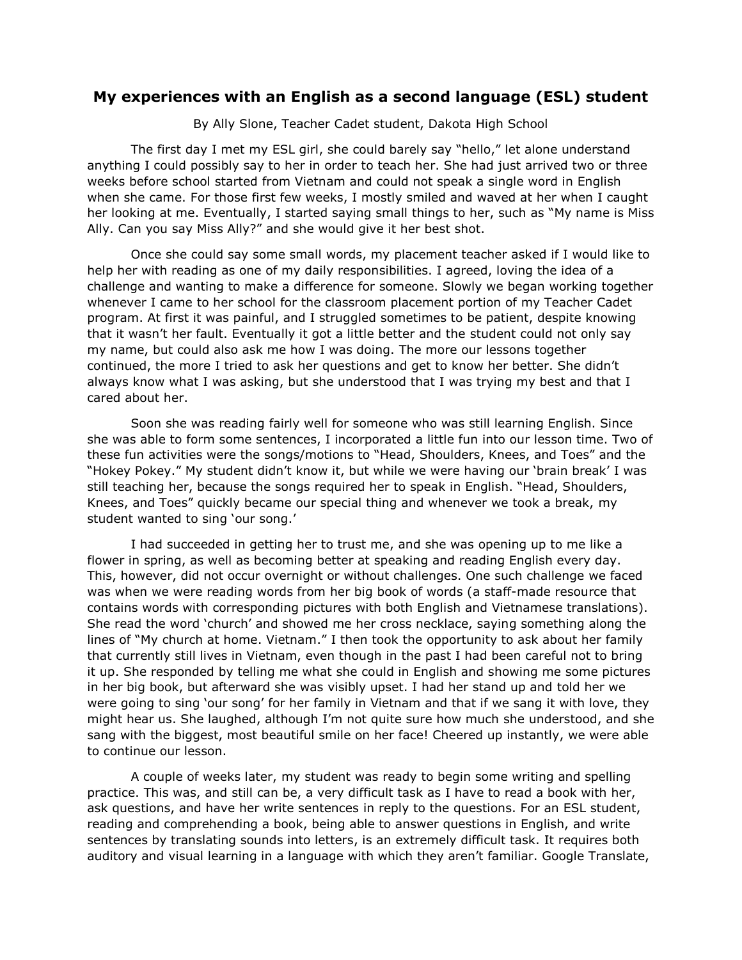## **My experiences with an English as a second language (ESL) student**

By Ally Slone, Teacher Cadet student, Dakota High School

The first day I met my ESL girl, she could barely say "hello," let alone understand anything I could possibly say to her in order to teach her. She had just arrived two or three weeks before school started from Vietnam and could not speak a single word in English when she came. For those first few weeks, I mostly smiled and waved at her when I caught her looking at me. Eventually, I started saying small things to her, such as "My name is Miss Ally. Can you say Miss Ally?" and she would give it her best shot.

Once she could say some small words, my placement teacher asked if I would like to help her with reading as one of my daily responsibilities. I agreed, loving the idea of a challenge and wanting to make a difference for someone. Slowly we began working together whenever I came to her school for the classroom placement portion of my Teacher Cadet program. At first it was painful, and I struggled sometimes to be patient, despite knowing that it wasn't her fault. Eventually it got a little better and the student could not only say my name, but could also ask me how I was doing. The more our lessons together continued, the more I tried to ask her questions and get to know her better. She didn't always know what I was asking, but she understood that I was trying my best and that I cared about her.

Soon she was reading fairly well for someone who was still learning English. Since she was able to form some sentences, I incorporated a little fun into our lesson time. Two of these fun activities were the songs/motions to "Head, Shoulders, Knees, and Toes" and the "Hokey Pokey." My student didn't know it, but while we were having our 'brain break' I was still teaching her, because the songs required her to speak in English. "Head, Shoulders, Knees, and Toes" quickly became our special thing and whenever we took a break, my student wanted to sing 'our song.'

I had succeeded in getting her to trust me, and she was opening up to me like a flower in spring, as well as becoming better at speaking and reading English every day. This, however, did not occur overnight or without challenges. One such challenge we faced was when we were reading words from her big book of words (a staff-made resource that contains words with corresponding pictures with both English and Vietnamese translations). She read the word 'church' and showed me her cross necklace, saying something along the lines of "My church at home. Vietnam." I then took the opportunity to ask about her family that currently still lives in Vietnam, even though in the past I had been careful not to bring it up. She responded by telling me what she could in English and showing me some pictures in her big book, but afterward she was visibly upset. I had her stand up and told her we were going to sing 'our song' for her family in Vietnam and that if we sang it with love, they might hear us. She laughed, although I'm not quite sure how much she understood, and she sang with the biggest, most beautiful smile on her face! Cheered up instantly, we were able to continue our lesson.

A couple of weeks later, my student was ready to begin some writing and spelling practice. This was, and still can be, a very difficult task as I have to read a book with her, ask questions, and have her write sentences in reply to the questions. For an ESL student, reading and comprehending a book, being able to answer questions in English, and write sentences by translating sounds into letters, is an extremely difficult task. It requires both auditory and visual learning in a language with which they aren't familiar. Google Translate,